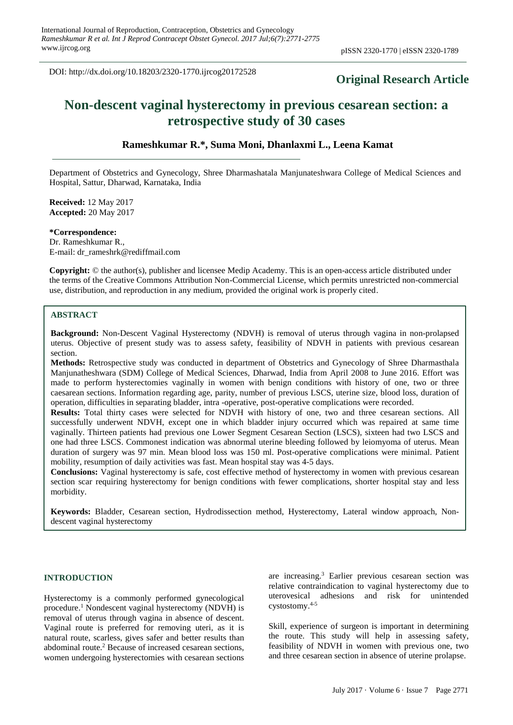DOI: http://dx.doi.org/10.18203/2320-1770.ijrcog20172528

## **Original Research Article**

# **Non-descent vaginal hysterectomy in previous cesarean section: a retrospective study of 30 cases**

## **Rameshkumar R.\*, Suma Moni, Dhanlaxmi L., Leena Kamat**

Department of Obstetrics and Gynecology, Shree Dharmashatala Manjunateshwara College of Medical Sciences and Hospital, Sattur, Dharwad, Karnataka, India

**Received:** 12 May 2017 **Accepted:** 20 May 2017

**\*Correspondence:** Dr. Rameshkumar R., E-mail: dr\_rameshrk@rediffmail.com

**Copyright:** © the author(s), publisher and licensee Medip Academy. This is an open-access article distributed under the terms of the Creative Commons Attribution Non-Commercial License, which permits unrestricted non-commercial use, distribution, and reproduction in any medium, provided the original work is properly cited.

#### **ABSTRACT**

**Background:** Non-Descent Vaginal Hysterectomy (NDVH) is removal of uterus through vagina in non-prolapsed uterus. Objective of present study was to assess safety, feasibility of NDVH in patients with previous cesarean section.

**Methods:** Retrospective study was conducted in department of Obstetrics and Gynecology of Shree Dharmasthala Manjunatheshwara (SDM) College of Medical Sciences, Dharwad, India from April 2008 to June 2016. Effort was made to perform hysterectomies vaginally in women with benign conditions with history of one, two or three caesarean sections. Information regarding age, parity, number of previous LSCS, uterine size, blood loss, duration of operation, difficulties in separating bladder, intra -operative, post-operative complications were recorded.

**Results:** Total thirty cases were selected for NDVH with history of one, two and three cesarean sections. All successfully underwent NDVH, except one in which bladder injury occurred which was repaired at same time vaginally. Thirteen patients had previous one Lower Segment Cesarean Section (LSCS), sixteen had two LSCS and one had three LSCS. Commonest indication was abnormal uterine bleeding followed by leiomyoma of uterus. Mean duration of surgery was 97 min. Mean blood loss was 150 ml. Post-operative complications were minimal. Patient mobility, resumption of daily activities was fast. Mean hospital stay was 4-5 days.

**Conclusions:** Vaginal hysterectomy is safe, cost effective method of hysterectomy in women with previous cesarean section scar requiring hysterectomy for benign conditions with fewer complications, shorter hospital stay and less morbidity.

**Keywords:** Bladder, Cesarean section, Hydrodissection method, Hysterectomy, Lateral window approach, Nondescent vaginal hysterectomy

## **INTRODUCTION**

Hysterectomy is a commonly performed gynecological procedure. <sup>1</sup> Nondescent vaginal hysterectomy (NDVH) is removal of uterus through vagina in absence of descent. Vaginal route is preferred for removing uteri, as it is natural route, scarless, gives safer and better results than abdominal route. <sup>2</sup> Because of increased cesarean sections, women undergoing hysterectomies with cesarean sections

are increasing. <sup>3</sup> Earlier previous cesarean section was relative contraindication to vaginal hysterectomy due to uterovesical adhesions and risk for unintended cystostomy. 4-5

Skill, experience of surgeon is important in determining the route. This study will help in assessing safety, feasibility of NDVH in women with previous one, two and three cesarean section in absence of uterine prolapse.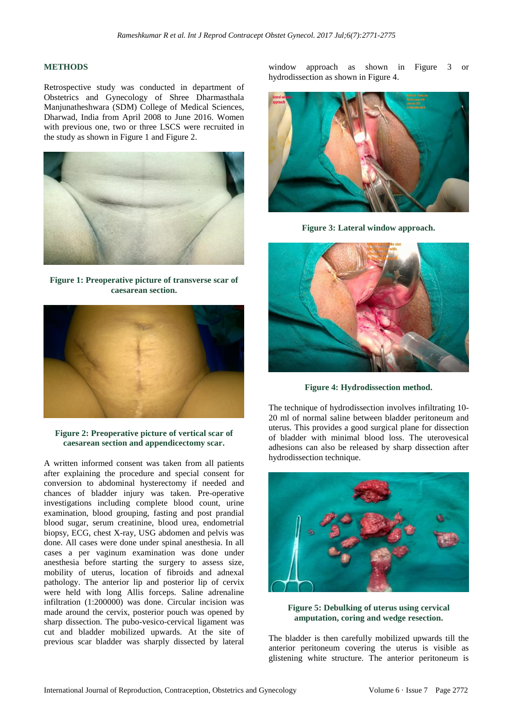## **METHODS**

Retrospective study was conducted in department of Obstetrics and Gynecology of Shree Dharmasthala Manjunatheshwara (SDM) College of Medical Sciences, Dharwad, India from April 2008 to June 2016. Women with previous one, two or three LSCS were recruited in the study as shown in Figure 1 and Figure 2.



**Figure 1: Preoperative picture of transverse scar of caesarean section.**



**Figure 2: Preoperative picture of vertical scar of caesarean section and appendicectomy scar.**

A written informed consent was taken from all patients after explaining the procedure and special consent for conversion to abdominal hysterectomy if needed and chances of bladder injury was taken. Pre-operative investigations including complete blood count, urine examination, blood grouping, fasting and post prandial blood sugar, serum creatinine, blood urea, endometrial biopsy, ECG, chest X-ray, USG abdomen and pelvis was done. All cases were done under spinal anesthesia. In all cases a per vaginum examination was done under anesthesia before starting the surgery to assess size, mobility of uterus, location of fibroids and adnexal pathology. The anterior lip and posterior lip of cervix were held with long Allis forceps. Saline adrenaline infiltration (1:200000) was done. Circular incision was made around the cervix, posterior pouch was opened by sharp dissection. The pubo-vesico-cervical ligament was cut and bladder mobilized upwards. At the site of previous scar bladder was sharply dissected by lateral window approach as shown in Figure 3 or hydrodissection as shown in Figure 4.



**Figure 3: Lateral window approach.**



**Figure 4: Hydrodissection method.**

The technique of hydrodissection involves infiltrating 10- 20 ml of normal saline between bladder peritoneum and uterus. This provides a good surgical plane for dissection of bladder with minimal blood loss. The uterovesical adhesions can also be released by sharp dissection after hydrodissection technique.



**Figure 5: Debulking of uterus using cervical amputation, coring and wedge resection.**

The bladder is then carefully mobilized upwards till the anterior peritoneum covering the uterus is visible as glistening white structure. The anterior peritoneum is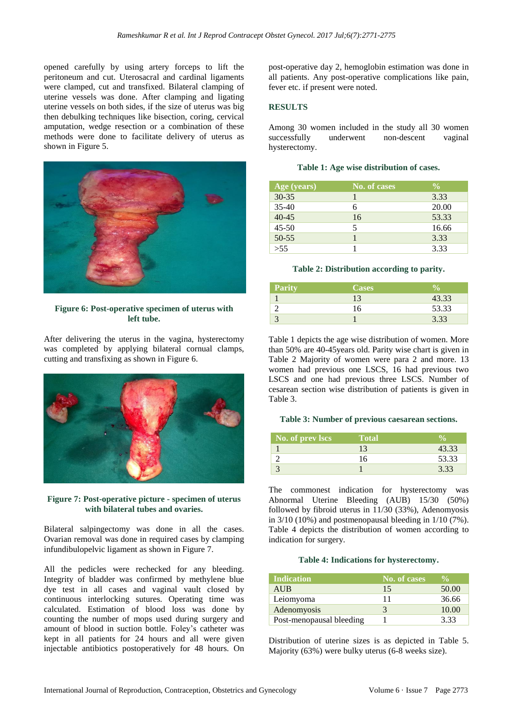opened carefully by using artery forceps to lift the peritoneum and cut. Uterosacral and cardinal ligaments were clamped, cut and transfixed. Bilateral clamping of uterine vessels was done. After clamping and ligating uterine vessels on both sides, if the size of uterus was big then debulking techniques like bisection, coring, cervical amputation, wedge resection or a combination of these methods were done to facilitate delivery of uterus as shown in Figure 5.



**Figure 6: Post-operative specimen of uterus with left tube.**

After delivering the uterus in the vagina, hysterectomy was completed by applying bilateral cornual clamps, cutting and transfixing as shown in Figure 6.



#### **Figure 7: Post-operative picture - specimen of uterus with bilateral tubes and ovaries.**

Bilateral salpingectomy was done in all the cases. Ovarian removal was done in required cases by clamping infundibulopelvic ligament as shown in Figure 7.

All the pedicles were rechecked for any bleeding. Integrity of bladder was confirmed by methylene blue dye test in all cases and vaginal vault closed by continuous interlocking sutures. Operating time was calculated. Estimation of blood loss was done by counting the number of mops used during surgery and amount of blood in suction bottle. Foley's catheter was kept in all patients for 24 hours and all were given injectable antibiotics postoperatively for 48 hours. On post-operative day 2, hemoglobin estimation was done in all patients. Any post-operative complications like pain, fever etc. if present were noted.

## **RESULTS**

Among 30 women included in the study all 30 women successfully underwent non-descent vaginal hysterectomy.

|  |  |  |  | Table 1: Age wise distribution of cases. |  |  |
|--|--|--|--|------------------------------------------|--|--|
|--|--|--|--|------------------------------------------|--|--|

| $Age$ (years) | No. of cases | $\frac{0}{0}$ |
|---------------|--------------|---------------|
| $30 - 35$     |              | 3.33          |
| $35 - 40$     | 6            | 20.00         |
| $40 - 45$     | 16           | 53.33         |
| $45 - 50$     | 5            | 16.66         |
| $50 - 55$     |              | 3.33          |
| >55           |              | 3.33          |

#### **Table 2: Distribution according to parity.**

| <b>Parity</b> | <b>Cases</b> |       |
|---------------|--------------|-------|
|               | 13           | 43.33 |
|               | 16           | 53.33 |
|               |              | 3.33  |

Table 1 depicts the age wise distribution of women. More than 50% are 40-45years old. Parity wise chart is given in Table 2 Majority of women were para 2 and more. 13 women had previous one LSCS, 16 had previous two LSCS and one had previous three LSCS. Number of cesarean section wise distribution of patients is given in Table 3.

#### **Table 3: Number of previous caesarean sections.**

| No. of prev lscs | Total |       |
|------------------|-------|-------|
|                  |       | 43.33 |
|                  | 16    | 53.33 |
|                  |       | 3.33  |

The commonest indication for hysterectomy was Abnormal Uterine Bleeding (AUB) 15/30 (50%) followed by fibroid uterus in 11/30 (33%), Adenomyosis in 3/10 (10%) and postmenopausal bleeding in 1/10 (7%). Table 4 depicts the distribution of women according to indication for surgery.

#### **Table 4: Indications for hysterectomy.**

| <b>Indication</b>        | No. of cases | $\frac{0}{\sqrt{2}}$ |
|--------------------------|--------------|----------------------|
| <b>AUB</b>               | 15           | 50.00                |
| Leiomyoma                | 11           | 36.66                |
| Adenomyosis              | 3            | 10.00                |
| Post-menopausal bleeding |              | 3.33                 |

Distribution of uterine sizes is as depicted in Table 5. Majority (63%) were bulky uterus (6-8 weeks size).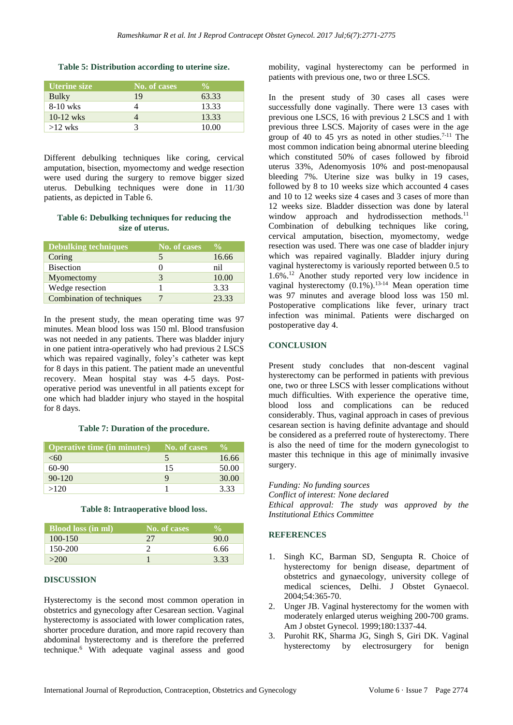#### **Table 5: Distribution according to uterine size.**

| <b>Uterine size</b> | No. of cases | $\frac{1}{2}$ |
|---------------------|--------------|---------------|
| Bulky               | 19           | 63.33         |
| 8-10 wks            |              | 13.33         |
| $10-12$ wks         |              | 13.33         |
| $>12$ wks           |              | 10.00         |

Different debulking techniques like coring, cervical amputation, bisection, myomectomy and wedge resection were used during the surgery to remove bigger sized uterus. Debulking techniques were done in 11/30 patients, as depicted in Table 6.

## **Table 6: Debulking techniques for reducing the size of uterus.**

| <b>Debulking techniques</b> | No. of cases | $\frac{0}{\alpha}$ |
|-----------------------------|--------------|--------------------|
| Coring                      |              | 16.66              |
| <b>Bisection</b>            |              | nil                |
| Myomectomy                  |              | 10.00              |
| Wedge resection             |              | 3.33               |
| Combination of techniques   |              | 23.33              |

In the present study, the mean operating time was 97 minutes. Mean blood loss was 150 ml. Blood transfusion was not needed in any patients. There was bladder injury in one patient intra-operatively who had previous 2 LSCS which was repaired vaginally, foley's catheter was kept for 8 days in this patient. The patient made an uneventful recovery. Mean hospital stay was 4-5 days. Postoperative period was uneventful in all patients except for one which had bladder injury who stayed in the hospital for 8 days.

## **Table 7: Duration of the procedure.**

| <b>Operative time (in minutes)</b> | No. of cases | $V_0$ |
|------------------------------------|--------------|-------|
| <60                                |              | 16.66 |
| $60-90$                            | 15           | 50.00 |
| $90 - 120$                         |              | 30.00 |
| >120                               |              | 3.33  |

#### **Table 8: Intraoperative blood loss.**

| <b>Blood loss (in ml)</b> | No. of cases |      |
|---------------------------|--------------|------|
| $100 - 150$               | 27           | 90.0 |
| 150-200                   |              | 6.66 |
| >200                      |              | 3.33 |

#### **DISCUSSION**

Hysterectomy is the second most common operation in obstetrics and gynecology after Cesarean section. Vaginal hysterectomy is associated with lower complication rates, shorter procedure duration, and more rapid recovery than abdominal hysterectomy and is therefore the preferred technique. <sup>6</sup> With adequate vaginal assess and good

mobility, vaginal hysterectomy can be performed in patients with previous one, two or three LSCS.

In the present study of 30 cases all cases were successfully done vaginally. There were 13 cases with previous one LSCS, 16 with previous 2 LSCS and 1 with previous three LSCS. Majority of cases were in the age group of 40 to 45 yrs as noted in other studies. 7-11 The most common indication being abnormal uterine bleeding which constituted 50% of cases followed by fibroid uterus 33%, Adenomyosis 10% and post-menopausal bleeding 7%. Uterine size was bulky in 19 cases, followed by 8 to 10 weeks size which accounted 4 cases and 10 to 12 weeks size 4 cases and 3 cases of more than 12 weeks size. Bladder dissection was done by lateral window approach and hydrodissection methods.<sup>11</sup> Combination of debulking techniques like coring, cervical amputation, bisection, myomectomy, wedge resection was used. There was one case of bladder injury which was repaired vaginally. Bladder injury during vaginal hysterectomy is variously reported between 0.5 to 1.6%. <sup>12</sup> Another study reported very low incidence in vaginal hysterectomy (0.1%). 13-14 Mean operation time was 97 minutes and average blood loss was 150 ml. Postoperative complications like fever, urinary tract infection was minimal. Patients were discharged on postoperative day 4.

## **CONCLUSION**

Present study concludes that non-descent vaginal hysterectomy can be performed in patients with previous one, two or three LSCS with lesser complications without much difficulties. With experience the operative time, blood loss and complications can be reduced considerably. Thus, vaginal approach in cases of previous cesarean section is having definite advantage and should be considered as a preferred route of hysterectomy. There is also the need of time for the modern gynecologist to master this technique in this age of minimally invasive surgery.

*Funding: No funding sources Conflict of interest: None declared Ethical approval: The study was approved by the Institutional Ethics Committee*

## **REFERENCES**

- 1. Singh KC, Barman SD, Sengupta R. Choice of hysterectomy for benign disease, department of obstetrics and gynaecology, university college of medical sciences, Delhi. J Obstet Gynaecol. 2004;54:365-70.
- 2. Unger JB. Vaginal hysterectomy for the women with moderately enlarged uterus weighing 200-700 grams. Am J obstet Gynecol. 1999;180:1337-44.
- 3. Purohit RK, Sharma JG, Singh S, Giri DK. Vaginal hysterectomy by electrosurgery for benign